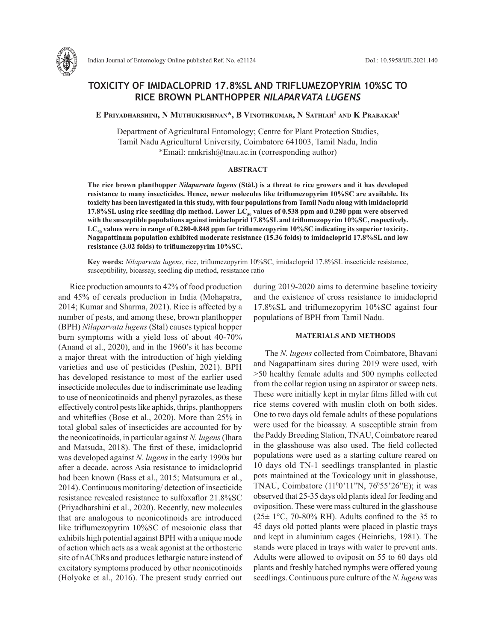

# **TOXICITY OF IMIDACLOPRID 17.8%SL AND TRIFLUMEZOPYRIM 10%SC TO RICE BROWN PLANTHOPPER** *NILAPARVATA LUGENS*

**E Priyadharshini, N Muthukrishnan\*, B Vinothkumar, N Sathiah1 and K Prabakar1**

Department of Agricultural Entomology; Centre for Plant Protection Studies, Tamil Nadu Agricultural University, Coimbatore 641003, Tamil Nadu, India \*Email: nmkrish@tnau.ac.in (corresponding author)

## **ABSTRACT**

**The rice brown planthopper** *Nilaparvata lugens* **(Stål.) is a threat to rice growers and it has developed resistance to many insecticides. Hence, newer molecules like triflumezopyrim 10%SC are available. Its toxicity has been investigated in this study, with four populations from Tamil Nadu along with imidacloprid**  17.8%SL using rice seedling dip method. Lower LC<sub>s0</sub> values of 0.538 ppm and 0.280 ppm were observed **with the susceptible populations against imidacloprid 17.8%SL and triflumezopyrim 10%SC, respectively.**  LC<sub>50</sub> values were in range of 0.280-0.848 ppm for triflumezopyrim 10%SC indicating its superior toxicity. **Nagapattinam population exhibited moderate resistance (15.36 folds) to imidacloprid 17.8%SL and low resistance (3.02 folds) to triflumezopyrim 10%SC.** 

**Key words:** *Nilaparvata lugens*, rice, triflumezopyrim 10%SC, imidacloprid 17.8%SL insecticide resistance, susceptibility, bioassay, seedling dip method, resistance ratio

Rice production amounts to 42% of food production and 45% of cereals production in India (Mohapatra, 2014; Kumar and Sharma, 2021). Rice is affected by a number of pests, and among these, brown planthopper (BPH) *Nilaparvata lugens* (Stal) causes typical hopper burn symptoms with a yield loss of about 40-70% (Anand et al., 2020), and in the 1960's it has become a major threat with the introduction of high yielding varieties and use of pesticides (Peshin, 2021). BPH has developed resistance to most of the earlier used insecticide molecules due to indiscriminate use leading to use of neonicotinoids and phenyl pyrazoles, as these effectively control pests like aphids, thrips, planthoppers and whiteflies (Bose et al., 2020). More than 25% in total global sales of insecticides are accounted for by the neonicotinoids, in particular against *N. lugens* (Ihara and Matsuda, 2018). The first of these, imidacloprid was developed against *N. lugens* in the early 1990s but after a decade, across Asia resistance to imidacloprid had been known (Bass et al., 2015; Matsumura et al., 2014). Continuous monitoring/ detection of insecticide resistance revealed resistance to sulfoxaflor 21.8%SC (Priyadharshini et al., 2020). Recently, new molecules that are analogous to neonicotinoids are introduced like triflumezopyrim 10%SC of mesoionic class that exhibits high potential against BPH with a unique mode of action which acts as a weak agonist at the orthosteric site of nAChRs and produces lethargic nature instead of excitatory symptoms produced by other neonicotinoids (Holyoke et al., 2016). The present study carried out

during 2019-2020 aims to determine baseline toxicity and the existence of cross resistance to imidacloprid 17.8%SL and triflumezopyrim 10%SC against four populations of BPH from Tamil Nadu.

## **MATERIALS AND METHODS**

The *N. lugens* collected from Coimbatore, Bhavani and Nagapattinam sites during 2019 were used, with >50 healthy female adults and 500 nymphs collected from the collar region using an aspirator or sweep nets. These were initially kept in mylar films filled with cut rice stems covered with muslin cloth on both sides. One to two days old female adults of these populations were used for the bioassay. A susceptible strain from the Paddy Breeding Station, TNAU, Coimbatore reared in the glasshouse was also used. The field collected populations were used as a starting culture reared on 10 days old TN-1 seedlings transplanted in plastic pots maintained at the Toxicology unit in glasshouse, TNAU, Coimbatore (11<sup>0</sup>0'11"N, 76<sup>0</sup>55'26"E); it was observed that 25-35 days old plants ideal for feeding and oviposition. These were mass cultured in the glasshouse  $(25\pm 1^{\circ}C, 70\text{-}80\% \text{ RH})$ . Adults confined to the 35 to 45 days old potted plants were placed in plastic trays and kept in aluminium cages (Heinrichs, 1981). The stands were placed in trays with water to prevent ants. Adults were allowed to oviposit on 55 to 60 days old plants and freshly hatched nymphs were offered young seedlings. Continuous pure culture of the *N. lugens* was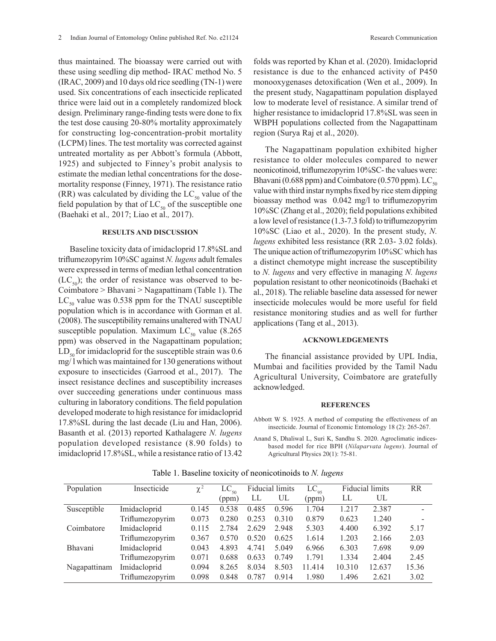untreated mortality as per Abbott's formula (Abbott, 1925) and subjected to Finney's probit analysis to estimate the median lethal concentrations for the dosemortality response (Finney, 1971). The resistance ratio (RR) was calculated by dividing the  $LC_{50}$  value of the field population by that of  $LC_{50}$  of the susceptible one

**RESULTS AND DISCUSSION**

Baseline toxicity data of imidacloprid 17.8%SL and triflumezopyrim 10%SC against *N. lugens* adult females were expressed in terms of median lethal concentration  $(LC_{50})$ ; the order of resistance was observed to be-Coimbatore > Bhavani > Nagapattinam (Table 1). The  $LC_{50}$  value was 0.538 ppm for the TNAU susceptible population which is in accordance with Gorman et al. (2008). The susceptibility remains unaltered with TNAU susceptible population. Maximum  $LC_{50}$  value (8.265) ppm) was observed in the Nagapattinam population;  $LD_{50}$  for imidacloprid for the susceptible strain was 0.6 mg/ l which was maintained for 130 generations without exposure to insecticides (Garrood et al., 2017). The insect resistance declines and susceptibility increases over succeeding generations under continuous mass culturing in laboratory conditions. The field population developed moderate to high resistance for imidacloprid 17.8%SL during the last decade (Liu and Han, 2006). Basanth et al. (2013) reported Kathalagere *N. lugens* population developed resistance (8.90 folds) to imidacloprid 17.8%SL, while a resistance ratio of 13.42

(Baehaki et al.*,* 2017; Liao et al.*,* 2017).

thus maintained. The bioassay were carried out with these using seedling dip method- IRAC method No. 5 (IRAC, 2009) and 10 days old rice seedling (TN-1) were used. Six concentrations of each insecticide replicated thrice were laid out in a completely randomized block design. Preliminary range-finding tests were done to fix the test dose causing 20-80% mortality approximately for constructing log-concentration-probit mortality (LCPM) lines. The test mortality was corrected against folds was reported by Khan et al. (2020). Imidacloprid resistance is due to the enhanced activity of P450 monooxygenases detoxification (Wen et al., 2009). In the present study, Nagapattinam population displayed low to moderate level of resistance. A similar trend of higher resistance to imidacloprid 17.8%SL was seen in WBPH populations collected from the Nagapattinam region (Surya Raj et al., 2020).

The Nagapattinam population exhibited higher resistance to older molecules compared to newer neonicotinoid, triflumezopyrim 10%SC- the values were: Bhavani (0.688 ppm) and Coimbatore (0.570 ppm).  $LC_{50}$ value with third instar nymphs fixed by rice stem dipping bioassay method was 0.042 mg/l to triflumezopyrim 10%SC (Zhang et al., 2020); field populations exhibited a low level of resistance (1.3-7.3 fold) to triflumezopyrim 10%SC (Liao et al., 2020). In the present study, *N. lugens* exhibited less resistance (RR 2.03- 3.02 folds). The unique action of triflumezopyrim 10%SC which has a distinct chemotype might increase the susceptibility to *N. lugens* and very effective in managing *N. lugens* population resistant to other neonicotinoids (Baehaki et al., 2018). The reliable baseline data assessed for newer insecticide molecules would be more useful for field resistance monitoring studies and as well for further applications (Tang et al., 2013).

### **ACKNOWLEDGEMENTS**

The financial assistance provided by UPL India, Mumbai and facilities provided by the Tamil Nadu Agricultural University, Coimbatore are gratefully acknowledged.

#### **REFERENCES**

- Abbott W S. 1925. A method of computing the effectiveness of an insecticide. Journal of Economic Entomology 18 (2): 265-267.
- Anand S, Dhaliwal L, Suri K, Sandhu S. 2020. Agroclimatic indicesbased model for rice BPH (*Nilaparvata lugens*). Journal of Agricultural Physics 20(1): 75-81.

| Population     | Insecticide     | $\chi^2$ | $LC_{50}$ | <b>Fiducial limits</b> |       | $LC_{\rm os}$ | <b>Fiducial limits</b> |        | <b>RR</b>                |
|----------------|-----------------|----------|-----------|------------------------|-------|---------------|------------------------|--------|--------------------------|
|                |                 |          | (ppm)     | LL                     | UL    | (ppm)         | LL                     | UL     |                          |
| Susceptible    | Imidacloprid    | 0.145    | 0.538     | 0.485                  | 0.596 | 1.704         | 1.217                  | 2.387  | $\overline{\phantom{a}}$ |
|                | Triflumezopyrim | 0.073    | 0.280     | 0.253                  | 0.310 | 0.879         | 0.623                  | 1.240  | -                        |
| Coimbatore     | Imidacloprid    | 0.115    | 2.784     | 2.629                  | 2.948 | 5.303         | 4.400                  | 6.392  | 5.17                     |
|                | Triflumezopyrim | 0.367    | 0.570     | 0.520                  | 0.625 | 1.614         | 1.203                  | 2.166  | 2.03                     |
| <b>Bhavani</b> | Imidacloprid    | 0.043    | 4.893     | 4.741                  | 5.049 | 6.966         | 6.303                  | 7.698  | 9.09                     |
|                | Triflumezopyrim | 0.071    | 0.688     | 0.633                  | 0.749 | 1.791         | 1.334                  | 2.404  | 2.45                     |
| Nagapattinam   | Imidacloprid    | 0.094    | 8.265     | 8.034                  | 8.503 | 11.414        | 10.310                 | 12.637 | 15.36                    |
|                | Triflumezopyrim | 0.098    | 0.848     | 0.787                  | 0.914 | 1.980         | 1.496                  | 2.621  | 3.02                     |

Table 1. Baseline toxicity of neonicotinoids to *N. lugens*